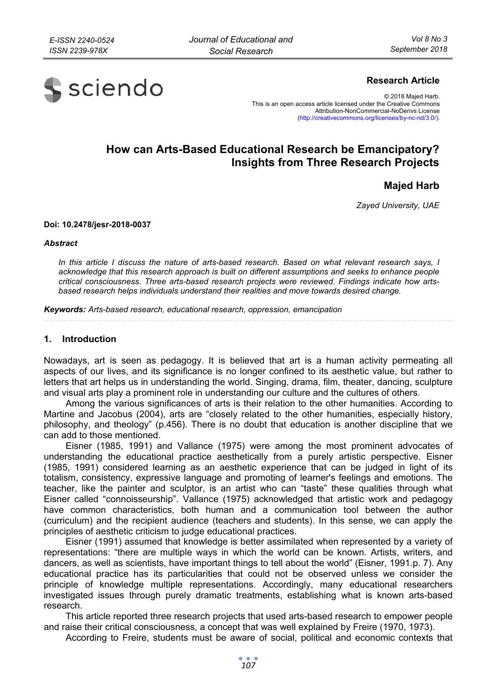

# **Research Article**

© 2018 Majed Harb. This is an open access article licensed under the Creative Commons Attribution-NonCommercial-NoDerivs License (http://creativecommons.org/licenses/by-nc-nd/3.0/).

# **How can Arts-Based Educational Research be Emancipatory? Insights from Three Research Projects**

**Majed Harb** 

*Zayed University, UAE* 

#### **Doi: 10.2478/jesr-2018-0037**

#### *Abstract*

*In this article I discuss the nature of arts-based research. Based on what relevant research says, I acknowledge that this research approach is built on different assumptions and seeks to enhance people critical consciousness. Three arts-based research projects were reviewed. Findings indicate how artsbased research helps individuals understand their realities and move towards desired change.* 

*Keywords: Arts-based research, educational research, oppression, emancipation* 

### **1. Introduction**

Nowadays, art is seen as pedagogy. It is believed that art is a human activity permeating all aspects of our lives, and its significance is no longer confined to its aesthetic value, but rather to letters that art helps us in understanding the world. Singing, drama, film, theater, dancing, sculpture and visual arts play a prominent role in understanding our culture and the cultures of others.

Among the various significances of arts is their relation to the other humanities. According to Martine and Jacobus (2004), arts are "closely related to the other humanities, especially history, philosophy, and theology" (p.456). There is no doubt that education is another discipline that we can add to those mentioned.

Eisner (1985, 1991) and Vallance (1975) were among the most prominent advocates of understanding the educational practice aesthetically from a purely artistic perspective. Eisner (1985, 1991) considered learning as an aesthetic experience that can be judged in light of its totalism, consistency, expressive language and promoting of learner's feelings and emotions. The teacher, like the painter and sculptor, is an artist who can "taste" these qualities through what Eisner called "connoisseurship". Vallance (1975) acknowledged that artistic work and pedagogy have common characteristics, both human and a communication tool between the author (curriculum) and the recipient audience (teachers and students). In this sense, we can apply the principles of aesthetic criticism to judge educational practices.

Eisner (1991) assumed that knowledge is better assimilated when represented by a variety of representations: "there are multiple ways in which the world can be known. Artists, writers, and dancers, as well as scientists, have important things to tell about the world" (Eisner, 1991.p. 7). Any educational practice has its particularities that could not be observed unless we consider the principle of knowledge multiple representations. Accordingly, many educational researchers investigated issues through purely dramatic treatments, establishing what is known arts-based research.

This article reported three research projects that used arts-based research to empower people and raise their critical consciousness, a concept that was well explained by Freire (1970, 1973).

According to Freire, students must be aware of social, political and economic contexts that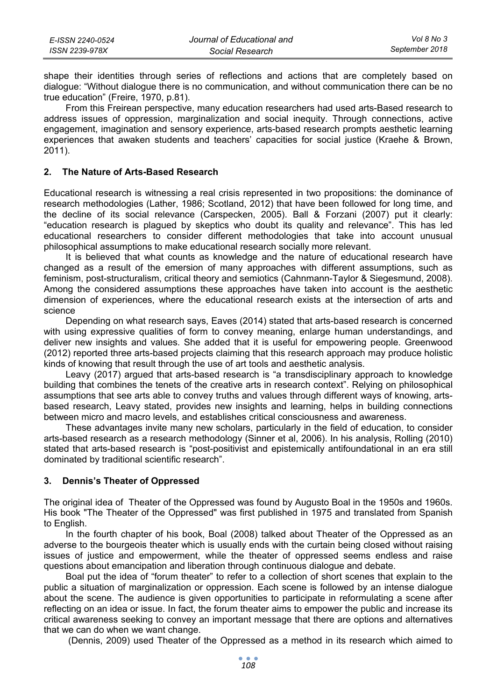| E-ISSN 2240-0524 | Journal of Educational and | Vol 8 No 3     |
|------------------|----------------------------|----------------|
| ISSN 2239-978X   | Social Research            | September 2018 |

shape their identities through series of reflections and actions that are completely based on dialogue: "Without dialogue there is no communication, and without communication there can be no true education" (Freire, 1970, p.81).

From this Freirean perspective, many education researchers had used arts-Based research to address issues of oppression, marginalization and social inequity. Through connections, active engagement, imagination and sensory experience, arts-based research prompts aesthetic learning experiences that awaken students and teachers' capacities for social justice (Kraehe & Brown, 2011).

## **2. The Nature of Arts-Based Research**

Educational research is witnessing a real crisis represented in two propositions: the dominance of research methodologies (Lather, 1986; Scotland, 2012) that have been followed for long time, and the decline of its social relevance (Carspecken, 2005). Ball & Forzani (2007) put it clearly: "education research is plagued by skeptics who doubt its quality and relevance". This has led educational researchers to consider different methodologies that take into account unusual philosophical assumptions to make educational research socially more relevant.

It is believed that what counts as knowledge and the nature of educational research have changed as a result of the emersion of many approaches with different assumptions, such as feminism, post-structuralism, critical theory and semiotics (Cahnmann-Taylor & Siegesmund, 2008). Among the considered assumptions these approaches have taken into account is the aesthetic dimension of experiences, where the educational research exists at the intersection of arts and science

Depending on what research says, Eaves (2014) stated that arts-based research is concerned with using expressive qualities of form to convey meaning, enlarge human understandings, and deliver new insights and values. She added that it is useful for empowering people. Greenwood (2012) reported three arts-based projects claiming that this research approach may produce holistic kinds of knowing that result through the use of art tools and aesthetic analysis.

Leavy (2017) argued that arts-based research is "a transdisciplinary approach to knowledge building that combines the tenets of the creative arts in research context". Relying on philosophical assumptions that see arts able to convey truths and values through different ways of knowing, artsbased research, Leavy stated, provides new insights and learning, helps in building connections between micro and macro levels, and establishes critical consciousness and awareness.

These advantages invite many new scholars, particularly in the field of education, to consider arts-based research as a research methodology (Sinner et al, 2006). In his analysis, Rolling (2010) stated that arts-based research is "post-positivist and epistemically antifoundational in an era still dominated by traditional scientific research".

#### **3. Dennis's Theater of Oppressed**

The original idea of Theater of the Oppressed was found by Augusto Boal in the 1950s and 1960s. His book "The Theater of the Oppressed" was first published in 1975 and translated from Spanish to English.

In the fourth chapter of his book, Boal (2008) talked about Theater of the Oppressed as an adverse to the bourgeois theater which is usually ends with the curtain being closed without raising issues of justice and empowerment, while the theater of oppressed seems endless and raise questions about emancipation and liberation through continuous dialogue and debate.

Boal put the idea of "forum theater" to refer to a collection of short scenes that explain to the public a situation of marginalization or oppression. Each scene is followed by an intense dialogue about the scene. The audience is given opportunities to participate in reformulating a scene after reflecting on an idea or issue. In fact, the forum theater aims to empower the public and increase its critical awareness seeking to convey an important message that there are options and alternatives that we can do when we want change.

(Dennis, 2009) used Theater of the Oppressed as a method in its research which aimed to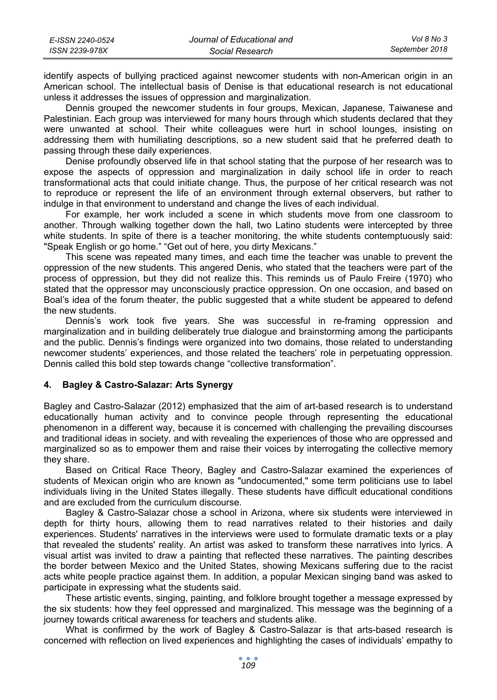| E-ISSN 2240-0524 | Journal of Educational and | Vol 8 No 3     |
|------------------|----------------------------|----------------|
| ISSN 2239-978X   | Social Research            | September 2018 |

identify aspects of bullying practiced against newcomer students with non-American origin in an American school. The intellectual basis of Denise is that educational research is not educational unless it addresses the issues of oppression and marginalization.

Dennis grouped the newcomer students in four groups, Mexican, Japanese, Taiwanese and Palestinian. Each group was interviewed for many hours through which students declared that they were unwanted at school. Their white colleagues were hurt in school lounges, insisting on addressing them with humiliating descriptions, so a new student said that he preferred death to passing through these daily experiences.

Denise profoundly observed life in that school stating that the purpose of her research was to expose the aspects of oppression and marginalization in daily school life in order to reach transformational acts that could initiate change. Thus, the purpose of her critical research was not to reproduce or represent the life of an environment through external observers, but rather to indulge in that environment to understand and change the lives of each individual.

For example, her work included a scene in which students move from one classroom to another. Through walking together down the hall, two Latino students were intercepted by three white students. In spite of there is a teacher monitoring, the white students contemptuously said: "Speak English or go home." "Get out of here, you dirty Mexicans."

This scene was repeated many times, and each time the teacher was unable to prevent the oppression of the new students. This angered Denis, who stated that the teachers were part of the process of oppression, but they did not realize this. This reminds us of Paulo Freire (1970) who stated that the oppressor may unconsciously practice oppression. On one occasion, and based on Boal's idea of the forum theater, the public suggested that a white student be appeared to defend the new students.

Dennis's work took five years. She was successful in re-framing oppression and marginalization and in building deliberately true dialogue and brainstorming among the participants and the public. Dennis's findings were organized into two domains, those related to understanding newcomer students' experiences, and those related the teachers' role in perpetuating oppression. Dennis called this bold step towards change "collective transformation".

# **4. Bagley & Castro-Salazar: Arts Synergy**

Bagley and Castro-Salazar (2012) emphasized that the aim of art-based research is to understand educationally human activity and to convince people through representing the educational phenomenon in a different way, because it is concerned with challenging the prevailing discourses and traditional ideas in society. and with revealing the experiences of those who are oppressed and marginalized so as to empower them and raise their voices by interrogating the collective memory they share.

Based on Critical Race Theory, Bagley and Castro-Salazar examined the experiences of students of Mexican origin who are known as "undocumented," some term politicians use to label individuals living in the United States illegally. These students have difficult educational conditions and are excluded from the curriculum discourse.

Bagley & Castro-Salazar chose a school in Arizona, where six students were interviewed in depth for thirty hours, allowing them to read narratives related to their histories and daily experiences. Students' narratives in the interviews were used to formulate dramatic texts or a play that revealed the students' reality. An artist was asked to transform these narratives into lyrics. A visual artist was invited to draw a painting that reflected these narratives. The painting describes the border between Mexico and the United States, showing Mexicans suffering due to the racist acts white people practice against them. In addition, a popular Mexican singing band was asked to participate in expressing what the students said.

These artistic events, singing, painting, and folklore brought together a message expressed by the six students: how they feel oppressed and marginalized. This message was the beginning of a journey towards critical awareness for teachers and students alike.

What is confirmed by the work of Bagley & Castro-Salazar is that arts-based research is concerned with reflection on lived experiences and highlighting the cases of individuals' empathy to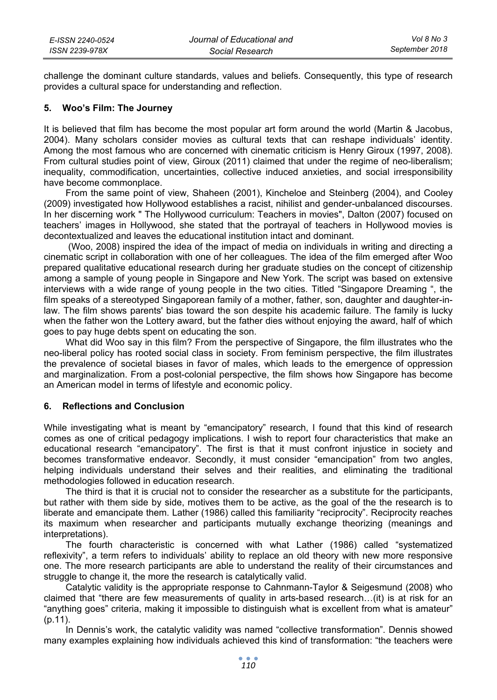challenge the dominant culture standards, values and beliefs. Consequently, this type of research provides a cultural space for understanding and reflection.

# **5. Woo's Film: The Journey**

It is believed that film has become the most popular art form around the world (Martin & Jacobus, 2004). Many scholars consider movies as cultural texts that can reshape individuals' identity. Among the most famous who are concerned with cinematic criticism is Henry Giroux (1997, 2008). From cultural studies point of view, Giroux (2011) claimed that under the regime of neo-liberalism; inequality, commodification, uncertainties, collective induced anxieties, and social irresponsibility have become commonplace.

From the same point of view, Shaheen (2001), Kincheloe and Steinberg (2004), and Cooley (2009) investigated how Hollywood establishes a racist, nihilist and gender-unbalanced discourses. In her discerning work " The Hollywood curriculum: Teachers in movies", Dalton (2007) focused on teachers' images in Hollywood, she stated that the portrayal of teachers in Hollywood movies is decontextualized and leaves the educational institution intact and dominant.

 (Woo, 2008) inspired the idea of the impact of media on individuals in writing and directing a cinematic script in collaboration with one of her colleagues. The idea of the film emerged after Woo prepared qualitative educational research during her graduate studies on the concept of citizenship among a sample of young people in Singapore and New York. The script was based on extensive interviews with a wide range of young people in the two cities. Titled "Singapore Dreaming ", the film speaks of a stereotyped Singaporean family of a mother, father, son, daughter and daughter-inlaw. The film shows parents' bias toward the son despite his academic failure. The family is lucky when the father won the Lottery award, but the father dies without enjoying the award, half of which goes to pay huge debts spent on educating the son.

What did Woo say in this film? From the perspective of Singapore, the film illustrates who the neo-liberal policy has rooted social class in society. From feminism perspective, the film illustrates the prevalence of societal biases in favor of males, which leads to the emergence of oppression and marginalization. From a post-colonial perspective, the film shows how Singapore has become an American model in terms of lifestyle and economic policy.

#### **6. Reflections and Conclusion**

While investigating what is meant by "emancipatory" research, I found that this kind of research comes as one of critical pedagogy implications. I wish to report four characteristics that make an educational research "emancipatory". The first is that it must confront injustice in society and becomes transformative endeavor. Secondly, it must consider "emancipation" from two angles, helping individuals understand their selves and their realities, and eliminating the traditional methodologies followed in education research.

The third is that it is crucial not to consider the researcher as a substitute for the participants, but rather with them side by side, motives them to be active, as the goal of the the research is to liberate and emancipate them. Lather (1986) called this familiarity "reciprocity". Reciprocity reaches its maximum when researcher and participants mutually exchange theorizing (meanings and interpretations).

The fourth characteristic is concerned with what Lather (1986) called "systematized reflexivity", a term refers to individuals' ability to replace an old theory with new more responsive one. The more research participants are able to understand the reality of their circumstances and struggle to change it, the more the research is catalytically valid.

Catalytic validity is the appropriate response to Cahnmann-Taylor & Seigesmund (2008) who claimed that "there are few measurements of quality in arts-based research…(it) is at risk for an "anything goes" criteria, making it impossible to distinguish what is excellent from what is amateur" (p.11).

In Dennis's work, the catalytic validity was named "collective transformation". Dennis showed many examples explaining how individuals achieved this kind of transformation: "the teachers were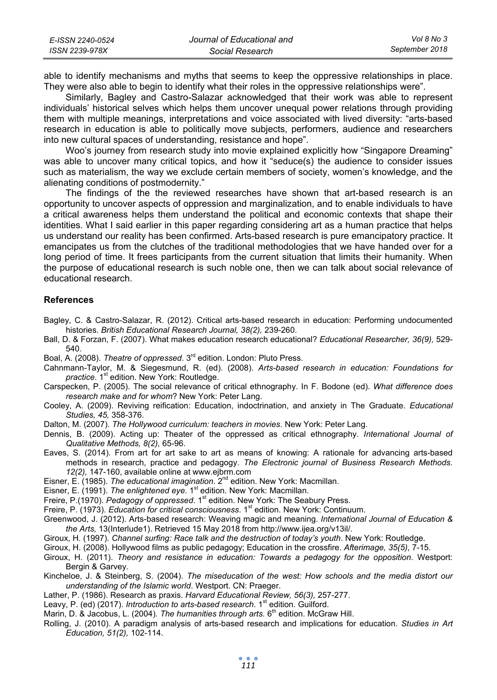| E-ISSN 2240-0524 | Journal of Educational and | Vol 8 No 3     |
|------------------|----------------------------|----------------|
| ISSN 2239-978X   | Social Research            | September 2018 |

able to identify mechanisms and myths that seems to keep the oppressive relationships in place. They were also able to begin to identify what their roles in the oppressive relationships were".

Similarly, Bagley and Castro-Salazar acknowledged that their work was able to represent individuals' historical selves which helps them uncover unequal power relations through providing them with multiple meanings, interpretations and voice associated with lived diversity: "arts-based research in education is able to politically move subjects, performers, audience and researchers into new cultural spaces of understanding, resistance and hope".

Woo's journey from research study into movie explained explicitly how "Singapore Dreaming" was able to uncover many critical topics, and how it "seduce(s) the audience to consider issues such as materialism, the way we exclude certain members of society, women's knowledge, and the alienating conditions of postmodernity."

The findings of the the reviewed researches have shown that art-based research is an opportunity to uncover aspects of oppression and marginalization, and to enable individuals to have a critical awareness helps them understand the political and economic contexts that shape their identities. What I said earlier in this paper regarding considering art as a human practice that helps us understand our reality has been confirmed. Arts-based research is pure emancipatory practice. It emancipates us from the clutches of the traditional methodologies that we have handed over for a long period of time. It frees participants from the current situation that limits their humanity. When the purpose of educational research is such noble one, then we can talk about social relevance of educational research.

### **References**

- Bagley, C. & Castro-Salazar, R. (2012). Critical arts-based research in education: Performing undocumented histories. *British Educational Research Journal, 38(2),* 239-260.
- Ball, D. & Forzan, F. (2007). What makes education research educational? *Educational Researcher, 36(9),* 529- 540.
- Boal, A. (2008). *Theatre of oppressed*. 3rd edition. London: Pluto Press.
- Cahnmann-Taylor, M. & Siegesmund, R. (ed). (2008). *Arts-based research in education: Foundations for*  practice. 1<sup>st</sup> edition. New York: Routledge.
- Carspecken, P. (2005). The social relevance of critical ethnography. In F. Bodone (ed). *What difference does research make and for whom*? New York: Peter Lang.
- Cooley, A. (2009). Reviving reification: Education, indoctrination, and anxiety in The Graduate. *Educational Studies, 45,* 358-376.
- Dalton, M. (2007). *The Hollywood curriculum: teachers in movies*. New York: Peter Lang.
- Dennis, B. (2009). Acting up: Theater of the oppressed as critical ethnography. *International Journal of Qualitative Methods, 8(2),* 65-96.
- Eaves, S. (2014). From art for art sake to art as means of knowing: A rationale for advancing arts-based methods in research, practice and pedagogy. *The Electronic journal of Business Research Methods. 12(2),* 147-160, available online at www.ejbrm.com
- Eisner, E. (1985). *The educational imagination*. 2<sup>nd</sup> edition. New York: Macmillan.
- Eisner, E. (1991). *The enlightened eye*. 1<sup>st</sup> edition. New York: Macmillan.
- Freire, P.(1970). *Pedagogy of oppressed*. 1<sup>st</sup> edition. New York: The Seabury Press.
- Freire, P. (1973). *Education for critical consciousness*. 1<sup>st</sup> edition. New York: Continuum.
- Greenwood, J. (2012). Arts-based research: Weaving magic and meaning. *International Journal of Education & the Arts,* 13(Interlude1). Retrieved 15 May 2018 from http://www.ijea.org/v13il/.
- Giroux, H. (1997). *Channel surfing: Race talk and the destruction of today's youth*. New York: Routledge.
- Giroux, H. (2008). Hollywood films as public pedagogy; Education in the crossfire. *Afterimage, 35(5)*, 7-15.
- Giroux, H. (2011). *Theory and resistance in education: Towards a pedagogy for the opposition*. Westport: Bergin & Garvey.
- Kincheloe, J. & Steinberg, S. (2004). *The miseducation of the west: How schools and the media distort our understanding of the Islamic world*. Westport. CN: Praeger.
- Lather, P. (1986). Research as praxis. *Harvard Educational Review, 56(3),* 257-277.
- Leavy, P. (ed) (2017). *Introduction to arts-based research*. 1<sup>st</sup> edition. Guilford.
- Marin, D. & Jacobus, L. (2004). *The humanities through arts.* 6<sup>th</sup> edition. McGraw Hill.
- Rolling, J. (2010). A paradigm analysis of arts-based research and implications for education. *Studies in Art Education, 51(2),* 102-114.